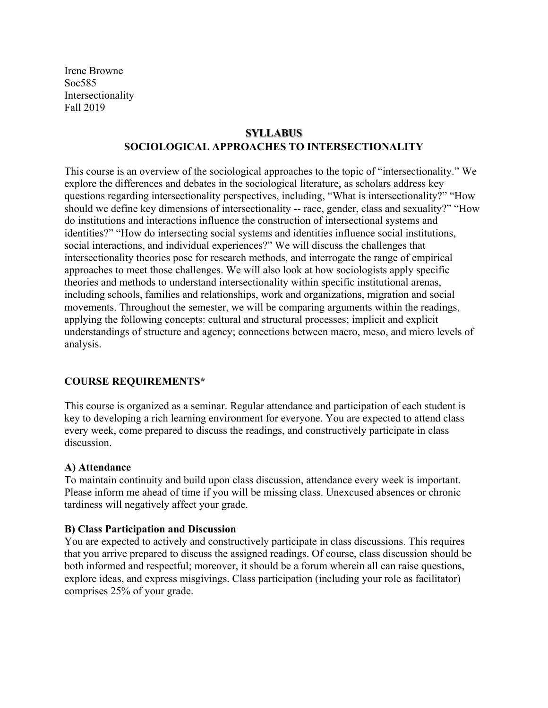Irene Browne Soc585 Intersectionality Fall 2019

## **SYLLABUS SOCIOLOGICAL APPROACHES TO INTERSECTIONALITY**

This course is an overview of the sociological approaches to the topic of "intersectionality." We explore the differences and debates in the sociological literature, as scholars address key questions regarding intersectionality perspectives, including, "What is intersectionality?" "How should we define key dimensions of intersectionality -- race, gender, class and sexuality?" "How do institutions and interactions influence the construction of intersectional systems and identities?" "How do intersecting social systems and identities influence social institutions, social interactions, and individual experiences?" We will discuss the challenges that intersectionality theories pose for research methods, and interrogate the range of empirical approaches to meet those challenges. We will also look at how sociologists apply specific theories and methods to understand intersectionality within specific institutional arenas, including schools, families and relationships, work and organizations, migration and social movements. Throughout the semester, we will be comparing arguments within the readings, applying the following concepts: cultural and structural processes; implicit and explicit understandings of structure and agency; connections between macro, meso, and micro levels of analysis.

### **COURSE REQUIREMENTS\***

This course is organized as a seminar. Regular attendance and participation of each student is key to developing a rich learning environment for everyone. You are expected to attend class every week, come prepared to discuss the readings, and constructively participate in class discussion.

#### **A) Attendance**

To maintain continuity and build upon class discussion, attendance every week is important. Please inform me ahead of time if you will be missing class. Unexcused absences or chronic tardiness will negatively affect your grade.

#### **B) Class Participation and Discussion**

You are expected to actively and constructively participate in class discussions. This requires that you arrive prepared to discuss the assigned readings. Of course, class discussion should be both informed and respectful; moreover, it should be a forum wherein all can raise questions, explore ideas, and express misgivings. Class participation (including your role as facilitator) comprises 25% of your grade.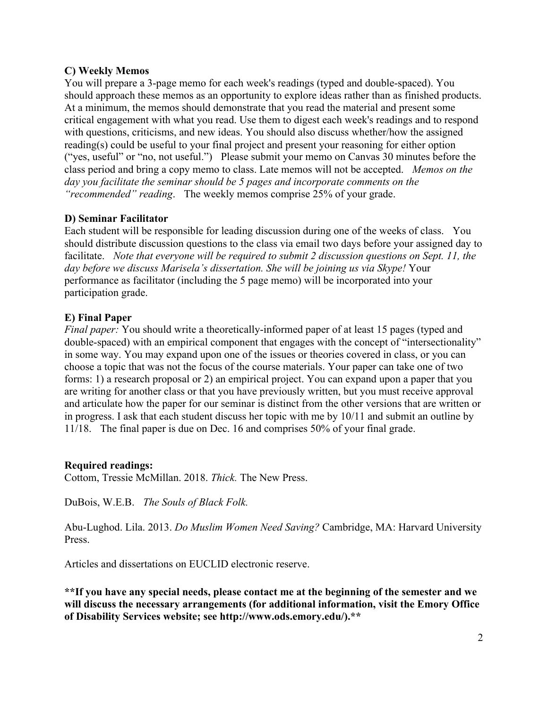### **C) Weekly Memos**

You will prepare a 3-page memo for each week's readings (typed and double-spaced). You should approach these memos as an opportunity to explore ideas rather than as finished products. At a minimum, the memos should demonstrate that you read the material and present some critical engagement with what you read. Use them to digest each week's readings and to respond with questions, criticisms, and new ideas. You should also discuss whether/how the assigned reading(s) could be useful to your final project and present your reasoning for either option ("yes, useful" or "no, not useful.") Please submit your memo on Canvas 30 minutes before the class period and bring a copy memo to class. Late memos will not be accepted. *Memos on the day you facilitate the seminar should be 5 pages and incorporate comments on the "recommended" reading*. The weekly memos comprise 25% of your grade.

### **D) Seminar Facilitator**

Each student will be responsible for leading discussion during one of the weeks of class. You should distribute discussion questions to the class via email two days before your assigned day to facilitate. *Note that everyone will be required to submit 2 discussion questions on Sept. 11, the day before we discuss Marisela's dissertation. She will be joining us via Skype!* Your performance as facilitator (including the 5 page memo) will be incorporated into your participation grade.

#### **E) Final Paper**

*Final paper:* You should write a theoretically-informed paper of at least 15 pages (typed and double-spaced) with an empirical component that engages with the concept of "intersectionality" in some way. You may expand upon one of the issues or theories covered in class, or you can choose a topic that was not the focus of the course materials. Your paper can take one of two forms: 1) a research proposal or 2) an empirical project. You can expand upon a paper that you are writing for another class or that you have previously written, but you must receive approval and articulate how the paper for our seminar is distinct from the other versions that are written or in progress. I ask that each student discuss her topic with me by 10/11 and submit an outline by 11/18. The final paper is due on Dec. 16 and comprises 50% of your final grade.

#### **Required readings:**

Cottom, Tressie McMillan. 2018. *Thick.* The New Press.

DuBois, W.E.B. *The Souls of Black Folk.*

Abu-Lughod. Lila. 2013. *Do Muslim Women Need Saving?* Cambridge, MA: Harvard University Press.

Articles and dissertations on EUCLID electronic reserve.

**\*\*If you have any special needs, please contact me at the beginning of the semester and we will discuss the necessary arrangements (for additional information, visit the Emory Office of Disability Services website; see http://www.ods.emory.edu/).\*\***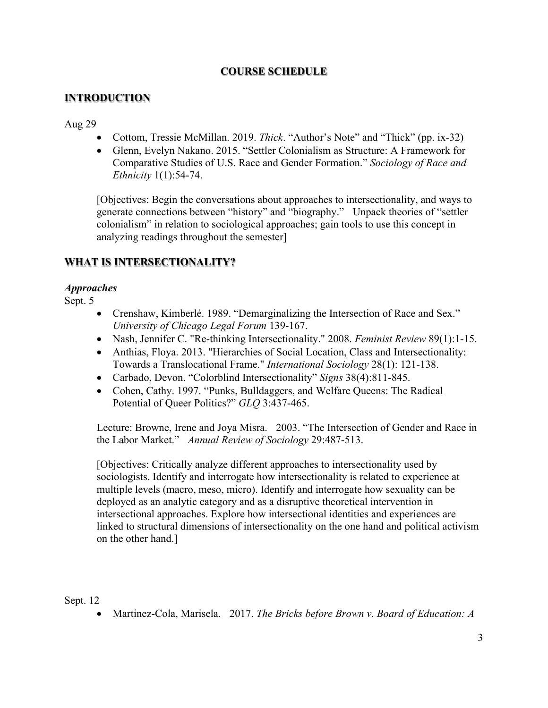# **COURSE SCHEDULE**

## **INTRODUCTION**

#### Aug 29

- Cottom, Tressie McMillan. 2019. *Thick*. "Author's Note" and "Thick" (pp. ix-32)
- Glenn, Evelyn Nakano. 2015. "Settler Colonialism as Structure: A Framework for Comparative Studies of U.S. Race and Gender Formation." *Sociology of Race and Ethnicity* 1(1):54-74.

[Objectives: Begin the conversations about approaches to intersectionality, and ways to generate connections between "history" and "biography." Unpack theories of "settler colonialism" in relation to sociological approaches; gain tools to use this concept in analyzing readings throughout the semester]

# **WHAT IS INTERSECTIONALITY?**

#### *Approaches*

Sept. 5

- Crenshaw, Kimberlé. 1989. "Demarginalizing the Intersection of Race and Sex." *University of Chicago Legal Forum* 139-167.
- Nash, Jennifer C. "Re-thinking Intersectionality." 2008. *Feminist Review* 89(1):1-15.
- Anthias, Floya. 2013. "Hierarchies of Social Location, Class and Intersectionality: Towards a Translocational Frame." *International Sociology* 28(1): 121-138.
- Carbado, Devon. "Colorblind Intersectionality" *Signs* 38(4):811-845.
- Cohen, Cathy. 1997. "Punks, Bulldaggers, and Welfare Queens: The Radical Potential of Queer Politics?" *GLQ* 3:437-465.

Lecture: Browne, Irene and Joya Misra. 2003. "The Intersection of Gender and Race in the Labor Market." *Annual Review of Sociology* 29:487-513.

[Objectives: Critically analyze different approaches to intersectionality used by sociologists. Identify and interrogate how intersectionality is related to experience at multiple levels (macro, meso, micro). Identify and interrogate how sexuality can be deployed as an analytic category and as a disruptive theoretical intervention in intersectional approaches. Explore how intersectional identities and experiences are linked to structural dimensions of intersectionality on the one hand and political activism on the other hand.]

#### Sept. 12

• Martinez-Cola, Marisela. 2017. *The Bricks before Brown v. Board of Education: A*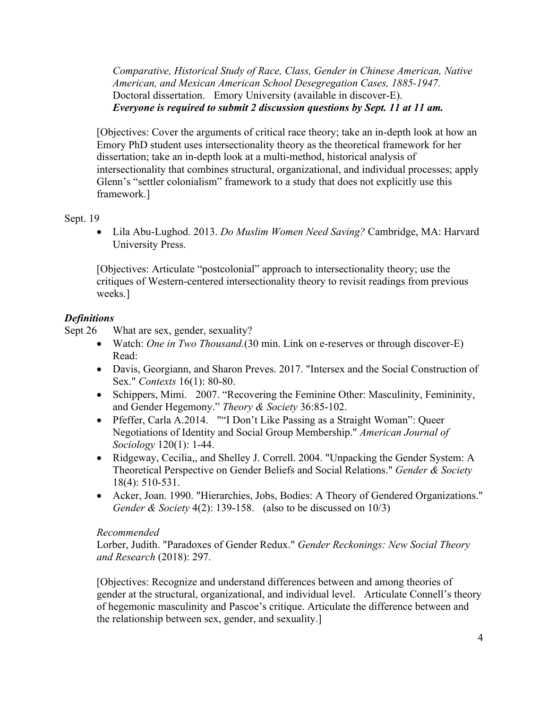*Comparative, Historical Study of Race, Class, Gender in Chinese American, Native American, and Mexican American School Desegregation Cases, 1885-1947.*  Doctoral dissertation. Emory University (available in discover-E). *Everyone is required to submit 2 discussion questions by Sept. 11 at 11 am.*

[Objectives: Cover the arguments of critical race theory; take an in-depth look at how an Emory PhD student uses intersectionality theory as the theoretical framework for her dissertation; take an in-depth look at a multi-method, historical analysis of intersectionality that combines structural, organizational, and individual processes; apply Glenn's "settler colonialism" framework to a study that does not explicitly use this framework.]

#### Sept. 19

• Lila Abu-Lughod. 2013. *Do Muslim Women Need Saving?* Cambridge, MA: Harvard University Press.

[Objectives: Articulate "postcolonial" approach to intersectionality theory; use the critiques of Western-centered intersectionality theory to revisit readings from previous weeks.]

#### *Definitions*

Sept 26 What are sex, gender, sexuality?

- Watch: *One in Two Thousand*. (30 min. Link on e-reserves or through discover-E) Read:
- Davis, Georgiann, and Sharon Preves. 2017. "Intersex and the Social Construction of Sex." *Contexts* 16(1): 80-80.
- Schippers, Mimi. 2007. "Recovering the Feminine Other: Masculinity, Femininity, and Gender Hegemony." *Theory & Society* 36:85-102.
- Pfeffer, Carla A.2014. ""I Don't Like Passing as a Straight Woman": Queer Negotiations of Identity and Social Group Membership." *American Journal of Sociology* 120(1): 1-44.
- Ridgeway, Cecilia,, and Shelley J. Correll. 2004. "Unpacking the Gender System: A Theoretical Perspective on Gender Beliefs and Social Relations." *Gender & Society* 18(4): 510-531.
- Acker, Joan. 1990. "Hierarchies, Jobs, Bodies: A Theory of Gendered Organizations." *Gender & Society* 4(2): 139-158. (also to be discussed on 10/3)

#### *Recommended*

Lorber, Judith. "Paradoxes of Gender Redux." *Gender Reckonings: New Social Theory and Research* (2018): 297.

[Objectives: Recognize and understand differences between and among theories of gender at the structural, organizational, and individual level. Articulate Connell's theory of hegemonic masculinity and Pascoe's critique. Articulate the difference between and the relationship between sex, gender, and sexuality.]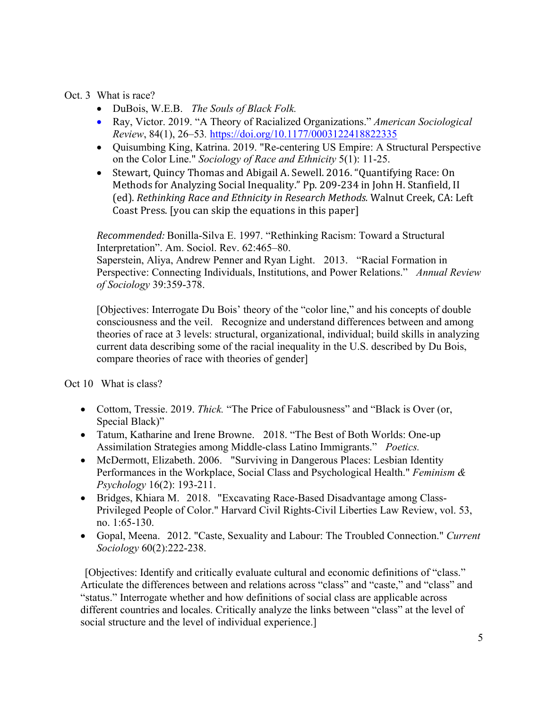Oct. 3 What is race?

- DuBois, W.E.B. *The Souls of Black Folk.*
- Ray, Victor. 2019. "A Theory of Racialized Organizations." *American Sociological Review*, 84(1), 26–53*.* https://doi.org/10.1177/0003122418822335
- Quisumbing King, Katrina. 2019. "Re-centering US Empire: A Structural Perspective on the Color Line." *Sociology of Race and Ethnicity* 5(1): 11-25.
- Stewart, Quincy Thomas and Abigail A. Sewell. 2016. "Quantifying Race: On Methods for Analyzing Social Inequality." Pp. 209-234 in John H. Stanfield, II (ed). *Rethinking Race and Ethnicity in Research Methods.* Walnut Creek, CA: Left Coast Press. [you can skip the equations in this paper]

*Recommended:* Bonilla-Silva E. 1997. "Rethinking Racism: Toward a Structural Interpretation". Am. Sociol. Rev. 62:465–80.

Saperstein, Aliya, Andrew Penner and Ryan Light. 2013. "Racial Formation in Perspective: Connecting Individuals, Institutions, and Power Relations." *Annual Review of Sociology* 39:359-378.

[Objectives: Interrogate Du Bois' theory of the "color line," and his concepts of double consciousness and the veil. Recognize and understand differences between and among theories of race at 3 levels: structural, organizational, individual; build skills in analyzing current data describing some of the racial inequality in the U.S. described by Du Bois, compare theories of race with theories of gender]

Oct 10 What is class?

- Cottom, Tressie. 2019. *Thick.* "The Price of Fabulousness" and "Black is Over (or, Special Black)"
- Tatum, Katharine and Irene Browne. 2018. "The Best of Both Worlds: One-up Assimilation Strategies among Middle-class Latino Immigrants." *Poetics.*
- McDermott, Elizabeth. 2006. "Surviving in Dangerous Places: Lesbian Identity Performances in the Workplace, Social Class and Psychological Health." *Feminism & Psychology* 16(2): 193-211.
- Bridges, Khiara M. 2018. "Excavating Race-Based Disadvantage among Class-Privileged People of Color." Harvard Civil Rights-Civil Liberties Law Review, vol. 53, no. 1:65-130.
- Gopal, Meena. 2012. "Caste, Sexuality and Labour: The Troubled Connection." *Current Sociology* 60(2):222-238.

[Objectives: Identify and critically evaluate cultural and economic definitions of "class." Articulate the differences between and relations across "class" and "caste," and "class" and "status." Interrogate whether and how definitions of social class are applicable across different countries and locales. Critically analyze the links between "class" at the level of social structure and the level of individual experience.]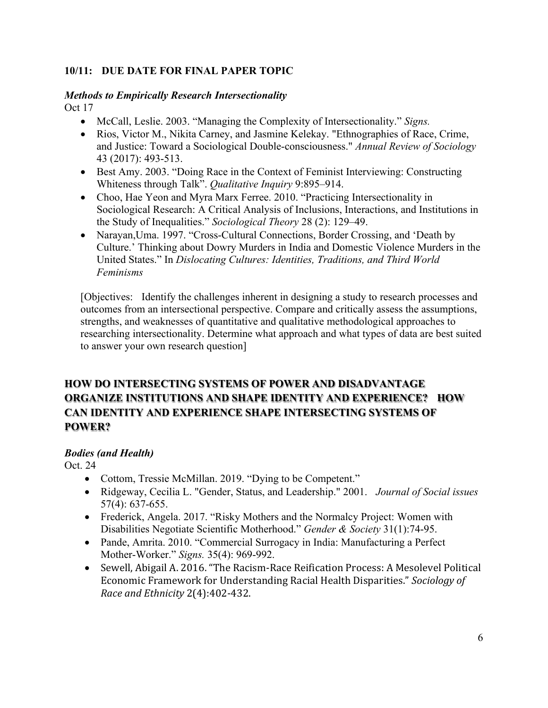## **10/11: DUE DATE FOR FINAL PAPER TOPIC**

# *Methods to Empirically Research Intersectionality*

Oct 17

- McCall, Leslie. 2003. "Managing the Complexity of Intersectionality." *Signs.*
- Rios, Victor M., Nikita Carney, and Jasmine Kelekay. "Ethnographies of Race, Crime, and Justice: Toward a Sociological Double-consciousness." *Annual Review of Sociology* 43 (2017): 493-513.
- Best Amy. 2003. "Doing Race in the Context of Feminist Interviewing: Constructing Whiteness through Talk". *Qualitative Inquiry* 9:895–914.
- Choo, Hae Yeon and Myra Marx Ferree. 2010. "Practicing Intersectionality in Sociological Research: A Critical Analysis of Inclusions, Interactions, and Institutions in the Study of Inequalities." *Sociological Theory* 28 (2): 129–49.
- Narayan, Uma. 1997. "Cross-Cultural Connections, Border Crossing, and 'Death by Culture.' Thinking about Dowry Murders in India and Domestic Violence Murders in the United States." In *Dislocating Cultures: Identities, Traditions, and Third World Feminisms*

[Objectives: Identify the challenges inherent in designing a study to research processes and outcomes from an intersectional perspective. Compare and critically assess the assumptions, strengths, and weaknesses of quantitative and qualitative methodological approaches to researching intersectionality. Determine what approach and what types of data are best suited to answer your own research question]

# **HOW DO INTERSECTING SYSTEMS OF POWER AND DISADVANTAGE ORGANIZE INSTITUTIONS AND SHAPE IDENTITY AND EXPERIENCE? HOW CAN IDENTITY AND EXPERIENCE SHAPE INTERSECTING SYSTEMS OF POWER?**

# *Bodies (and Health)*

Oct. 24

- Cottom, Tressie McMillan. 2019. "Dying to be Competent."
- Ridgeway, Cecilia L. "Gender, Status, and Leadership." 2001. *Journal of Social issues* 57(4): 637-655.
- Frederick, Angela. 2017. "Risky Mothers and the Normalcy Project: Women with Disabilities Negotiate Scientific Motherhood." *Gender & Society* 31(1):74-95.
- Pande, Amrita. 2010. "Commercial Surrogacy in India: Manufacturing a Perfect Mother-Worker." *Signs.* 35(4): 969-992.
- Sewell, Abigail A. 2016. "The Racism-Race Reification Process: A Mesolevel Political Economic Framework for Understanding Racial Health Disparities." *Sociology of Race and Ethnicity* 2(4):402-432.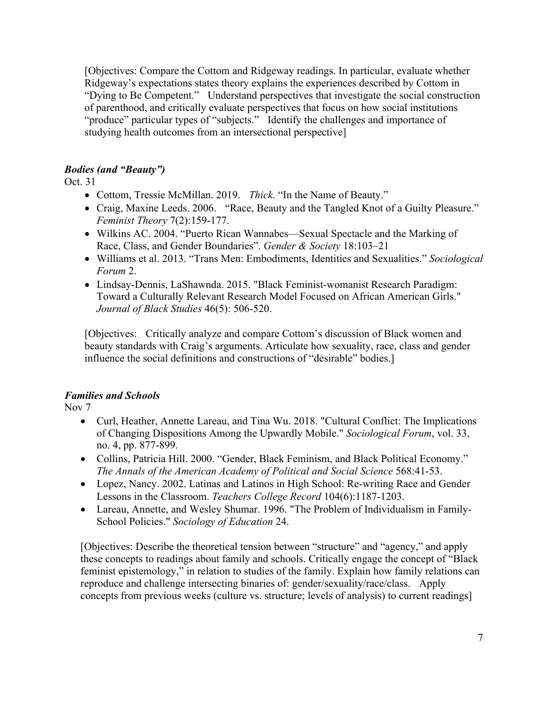[Objectives: Compare the Cottom and Ridgeway readings. In particular, evaluate whether Ridgeway's expectations states theory explains the experiences described by Cottom in "Dying to Be Competent." Understand perspectives that investigate the social construction of parenthood, and critically evaluate perspectives that focus on how social institutions "produce" particular types of "subjects." Identify the challenges and importance of studying health outcomes from an intersectional perspective]

# *Bodies (and "Beauty")*

Oct. 31

- Cottom, Tressie McMillan. 2019. *Thick.* "In the Name of Beauty."
- Craig, Maxine Leeds. 2006. "Race, Beauty and the Tangled Knot of a Guilty Pleasure." *Feminist Theory* 7(2):159-177.
- Wilkins AC. 2004. "Puerto Rican Wannabes—Sexual Spectacle and the Marking of Race, Class, and Gender Boundaries". *Gender & Society* 18:103–21
- Williams et al. 2013. "Trans Men: Embodiments, Identities and Sexualities." *Sociological Forum* 2.
- Lindsay-Dennis, LaShawnda. 2015. "Black Feminist-womanist Research Paradigm: Toward a Culturally Relevant Research Model Focused on African American Girls." *Journal of Black Studies* 46(5): 506-520.

[Objectives: Critically analyze and compare Cottom's discussion of Black women and beauty standards with Craig's arguments. Articulate how sexuality, race, class and gender influence the social definitions and constructions of "desirable" bodies.]

# *Families and Schools*

Nov 7

- Curl, Heather, Annette Lareau, and Tina Wu. 2018. "Cultural Conflict: The Implications of Changing Dispositions Among the Upwardly Mobile." *Sociological Forum*, vol. 33, no. 4, pp. 877-899.
- Collins, Patricia Hill. 2000. "Gender, Black Feminism, and Black Political Economy." *The Annals of the American Academy of Political and Social Science* 568:41-53.
- Lopez, Nancy. 2002. Latinas and Latinos in High School: Re-writing Race and Gender Lessons in the Classroom. *Teachers College Record* 104(6):1187-1203.
- Lareau, Annette, and Wesley Shumar. 1996. "The Problem of Individualism in Family-School Policies." *Sociology of Education* 24.

[Objectives: Describe the theoretical tension between "structure" and "agency," and apply these concepts to readings about family and schools. Critically engage the concept of "Black feminist epistemology," in relation to studies of the family. Explain how family relations can reproduce and challenge intersecting binaries of: gender/sexuality/race/class. Apply concepts from previous weeks (culture vs. structure; levels of analysis) to current readings]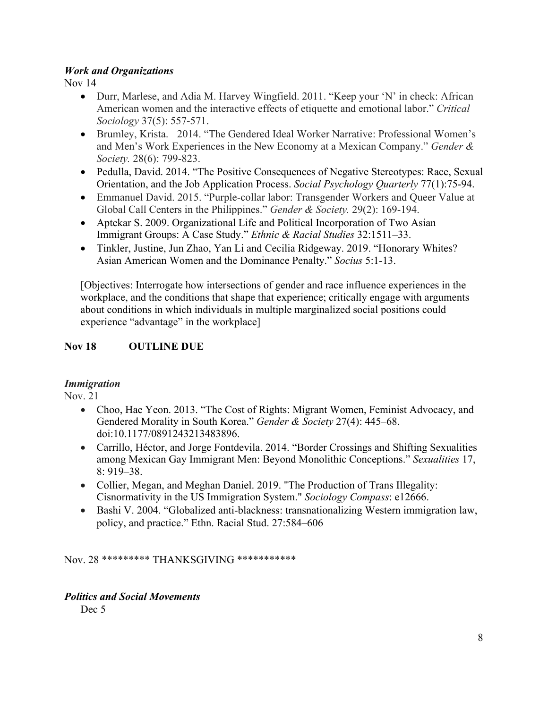### *Work and Organizations*

Nov 14

- Durr, Marlese, and Adia M. Harvey Wingfield. 2011. "Keep your 'N' in check: African American women and the interactive effects of etiquette and emotional labor." *Critical Sociology* 37(5): 557-571.
- Brumley, Krista. 2014. "The Gendered Ideal Worker Narrative: Professional Women's and Men's Work Experiences in the New Economy at a Mexican Company." *Gender & Society.* 28(6): 799-823.
- Pedulla, David. 2014. "The Positive Consequences of Negative Stereotypes: Race, Sexual Orientation, and the Job Application Process. *Social Psychology Quarterly* 77(1):75-94.
- Emmanuel David. 2015. "Purple-collar labor: Transgender Workers and Queer Value at Global Call Centers in the Philippines." *Gender & Society.* 29(2): 169-194.
- Aptekar S. 2009. Organizational Life and Political Incorporation of Two Asian Immigrant Groups: A Case Study." *Ethnic & Racial Studies* 32:1511–33.
- Tinkler, Justine, Jun Zhao, Yan Li and Cecilia Ridgeway. 2019. "Honorary Whites? Asian American Women and the Dominance Penalty." *Socius* 5:1-13.

[Objectives: Interrogate how intersections of gender and race influence experiences in the workplace, and the conditions that shape that experience; critically engage with arguments about conditions in which individuals in multiple marginalized social positions could experience "advantage" in the workplace]

# **Nov 18 OUTLINE DUE**

# *Immigration*

Nov. 21

- Choo, Hae Yeon. 2013. "The Cost of Rights: Migrant Women, Feminist Advocacy, and Gendered Morality in South Korea." *Gender & Society* 27(4): 445–68. doi:10.1177/0891243213483896.
- Carrillo, Héctor, and Jorge Fontdevila. 2014. "Border Crossings and Shifting Sexualities among Mexican Gay Immigrant Men: Beyond Monolithic Conceptions." *Sexualities* 17, 8: 919–38.
- Collier, Megan, and Meghan Daniel. 2019. "The Production of Trans Illegality: Cisnormativity in the US Immigration System." *Sociology Compass*: e12666.
- Bashi V. 2004. "Globalized anti-blackness: transnationalizing Western immigration law, policy, and practice." Ethn. Racial Stud. 27:584–606

Nov. 28 \*\*\*\*\*\*\*\*\* THANKSGIVING \*\*\*\*\*\*\*\*\*\*\*

### *Politics and Social Movements*

Dec<sub>5</sub>